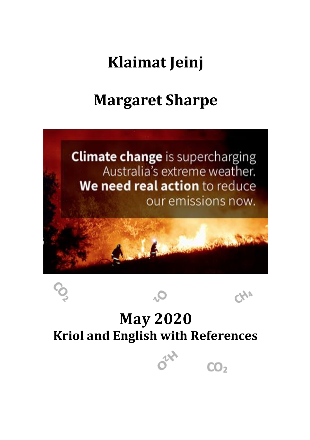# **Klaimat Jeinj**

# **Margaret Sharpe**



## **May 2020 Kriol and English with References**

 $CO<sub>2</sub>$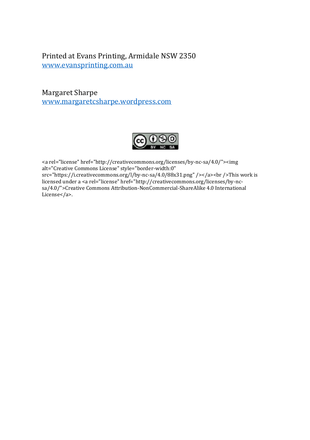#### Printed at Evans Printing, Armidale NSW 2350 www.evansprinting.com.au

Margaret Sharpe www.margaretcsharpe.wordpress.com



<a rel="license" href="http://creativecommons.org/licenses/by-nc-sa/4.0/"><img alt="Creative Commons License" style="border-width:0"  $src="https://icreativecommons.org/l/by-nc-sa/4.0/88x31.png$ "/></a>>https://i.creativecommons.org/l/by-nc-sa/4.0/88x31.png"/></a> licensed under a <a rel="license" href="http://creativecommons.org/licenses/by-ncsa/4.0/">Creative Commons Attribution-NonCommercial-ShareAlike 4.0 International License</a>.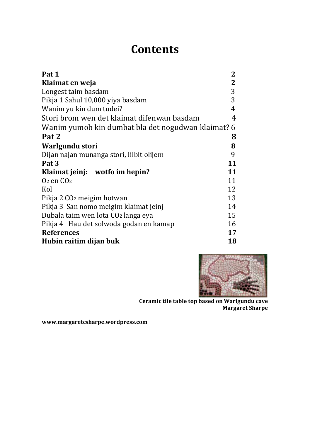## **Contents**

| Pat 1                                            | 2            |
|--------------------------------------------------|--------------|
| Klaimat en weja                                  | $\mathbf{2}$ |
| Longest taim basdam                              | 3            |
| Pikja 1 Sahul 10,000 yiya basdam                 | 3            |
| Wanim yu kin dum tudei?                          | 4            |
| Stori brom wen det klaimat difenwan basdam       | 4            |
| Wanim yumob kin dumbat bla det nogudwan klaimat? | 6            |
| Pat 2                                            | 8            |
| Warlgundu stori                                  | 8            |
| Dijan najan munanga stori, lilbit olijem         | 9            |
| Pat 3                                            | 11           |
| Klaimat jeinj: wotfo im hepin?                   | 11           |
| $O2$ en $CO2$                                    | 11           |
| Kol                                              | 12           |
| Pikja 2 CO <sub>2</sub> meigim hotwan            | 13           |
| Pikja 3 San nomo meigim klaimat jeinj            | 14           |
| Dubala taim wen lota CO2 langa eya               | 15           |
| Pikja 4 Hau det solwoda godan en kamap           | 16           |
| <b>References</b>                                | 17           |
| Hubin raitim dijan buk                           | 18           |



**Ceramic tile table top based on Warlgundu cave Margaret Sharpe**

**www.margaretcsharpe.wordpress.com**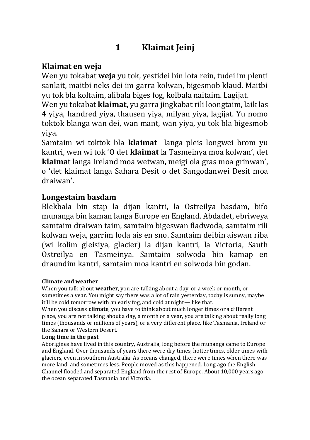## **1 Klaimat Jeinj**

## **Klaimat en weja**

Wen yu tokabat **weja** yu tok, yestidei bin lota rein, tudei im plenti sanlait, maitbi neks dei im garra kolwan, bigesmob klaud. Maitbi yu tok bla koltaim, alibala biges fog, kolbala naitaim. Lagijat.

Wen yu tokabat **klaimat,** yu garra jingkabat rili loongtaim, laik las 4 yiya, handred yiya, thausen yiya, milyan yiya, lagijat. Yu nomo toktok blanga wan dei, wan mant, wan yiya, yu tok bla bigesmob yiya.

Samtaim wi toktok bla **klaimat** langa pleis longwei brom yu kantri, wen wi tok 'O det **klaimat** la Tasmeinya moa kolwan', det **klaima**t langa Ireland moa wetwan, meigi ola gras moa grinwan', o 'det klaimat langa Sahara Desit o det Sangodanwei Desit moa draiwan'.

## **Longestaim basdam**

Blekbala bin stap la dijan kantri, la Ostreilya basdam, bifo munanga bin kaman langa Europe en England. Abdadet, ebriweya samtaim draiwan taim, samtaim bigeswan fladwoda, samtaim rili kolwan weja, garrim loda ais en sno. Samtaim deibin aiswan riba (wi kolim gleisiya, glacier) la dijan kantri, la Victoria, Sauth Ostreilya en Tasmeinya. Samtaim solwoda bin kamap en draundim kantri, samtaim moa kantri en solwoda bin godan.

#### **Climate and weather**

When you talk about **weather**, you are talking about a day, or a week or month, or sometimes a year. You might say there was a lot of rain yesterday, today is sunny, maybe it'll be cold tomorrow with an early fog, and cold at night— like that.

When you discuss **climate**, you have to think about much longer times or a different place, you are not talking about a day, a month or a year, you are talking about really long times (thousands or millions of years), or a very different place, like Tasmania, Ireland or the Sahara or Western Desert.

#### **Long time in the past**

Aborigines have lived in this country, Australia, long before the munanga came to Europe and England. Over thousands of years there were dry times, hotter times, older times with glaciers, even in southern Australia. As oceans changed, there were times when there was more land, and sometimes less. People moved as this happened. Long ago the English Channel flooded and separated England from the rest of Europe. About 10,000 years ago, the ocean separated Tasmania and Victoria.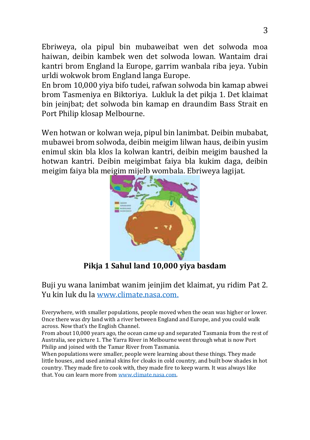Ebriweya, ola pipul bin mubaweibat wen det solwoda moa haiwan, deibin kambek wen det solwoda lowan. Wantaim drai kantri brom England la Europe, garrim wanbala riba jeya. Yubin urldi wokwok brom England langa Europe.

En brom 10,000 yiya bifo tudei, rafwan solwoda bin kamap abwei brom Tasmeniya en Biktoriya. Lukluk la det pikja 1. Det klaimat bin jeinjbat; det solwoda bin kamap en draundim Bass Strait en Port Philip klosap Melbourne.

Wen hotwan or kolwan weja, pipul bin lanimbat. Deibin mubabat, mubawei brom solwoda, deibin meigim lilwan haus, deibin yusim enimul skin bla klos la kolwan kantri, deibin meigim baushed la hotwan kantri. Deibin meigimbat faiya bla kukim daga, deibin meigim faiya bla meigim mijelb wombala. Ebriweya lagijat.



**Pikja 1 Sahul land 10,000 yiya basdam**

Buji yu wana lanimbat wanim jeinjim det klaimat, yu ridim Pat 2. Yu kin luk du la www.climate.nasa.com.

Everywhere, with smaller populations, people moved when the oean was higher or lower. Once there was dry land with a river between England and Europe, and you could walk across. Now that's the English Channel.

From about 10,000 years ago, the ocean came up and separated Tasmania from the rest of Australia, see picture 1. The Yarra River in Melbourne went through what is now Port Philip and joined with the Tamar River from Tasmania.

When populations were smaller, people were learning about these things. They made little houses, and used animal skins for cloaks in cold country, and built bow shades in hot country. They made fire to cook with, they made fire to keep warm. It was always like that. You can learn more from www.climate.nasa.com.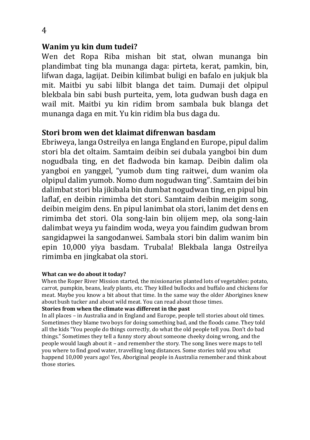## **Wanim yu kin dum tudei?**

Wen det Ropa Riba mishan bit stat, olwan munanga bin plandimbat ting bla munanga daga: pirteta, kerat, pamkin, bin, lifwan daga, lagijat. Deibin kilimbat buligi en bafalo en jukjuk bla mit. Maitbi yu sabi lilbit blanga det taim. Dumaji det olpipul blekbala bin sabi bush purteita, yem, lota gudwan bush daga en wail mit. Maitbi yu kin ridim brom sambala buk blanga det munanga daga en mit. Yu kin ridim bla bus daga du.

## **Stori brom wen det klaimat difrenwan basdam**

Ebriweya, langa Ostreilya en langa England en Europe, pipul dalim stori bla det oltaim. Samtaim deibin sei dubala yangboi bin dum nogudbala ting, en det fladwoda bin kamap. Deibin dalim ola yangboi en yanggel, "yumob dum ting raitwei, dum wanim ola olpipul dalim yumob. Nomo dum nogudwan ting". Samtaim dei bin dalimbat stori bla jikibala bin dumbat nogudwan ting, en pipul bin laflaf, en deibin rimimba det stori. Samtaim deibin meigim song, deibin meigim dens. En pipul lanimbat ola stori, lanim det dens en rimimba det stori. Ola song-lain bin olijem mep, ola song-lain dalimbat weya yu faindim woda, weya you faindim gudwan brom sangidapwei la sangodanwei. Sambala stori bin dalim wanim bin epin 10,000 yiya basdam. Trubala! Blekbala langa Ostreilya rimimba en jingkabat ola stori.

#### **What can we do about it today?**

When the Roper River Mission started, the missionaries planted lots of vegetables: potato, carrot, pumpkin, beans, leafy plants, etc. They killed bullocks and buffalo and chickens for meat. Maybe you know a bit about that time. In the same way the older Aborigines knew about bush tucker and about wild meat. You can read about those times.

#### **Stories from when the climate was different in the past**

In all places – in Australia and in England and Europe, people tell stories about old times. Sometimes they blame two boys for doing something bad, and the floods came. They told all the kids "You people do things correctly, do what the old people tell you. Don't do bad things." Sometimes they tell a funny story about someone cheeky doing wrong, and the people would laugh about it – and remember the story. The song lines were maps to tell you where to find good water, travelling long distances. Some stories told you what happend 10,000 years ago! Yes, Aboriginal people in Australia remember and think about those stories.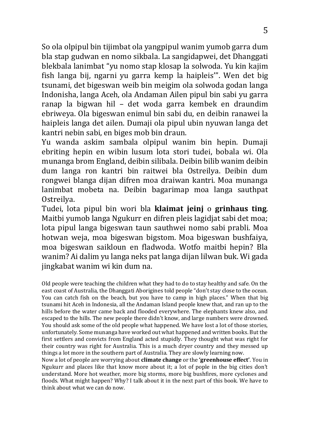So ola olpipul bin tijimbat ola yangpipul wanim yumob garra dum bla stap gudwan en nomo sikbala. La sangidapwei, det Dhanggati blekbala lanimbat "yu nomo stap klosap la solwoda. Yu kin kajim fish langa bij, ngarni yu garra kemp la haipleis'". Wen det big tsunami, det bigeswan weib bin meigim ola solwoda godan langa Indonisha, langa Aceh, ola Andaman Ailen pipul bin sabi yu garra ranap la bigwan hil – det woda garra kembek en draundim ebriweya. Ola bigeswan enimul bin sabi du, en deibin ranawei la haipleis langa det ailen. Dumaji ola pipul ubin nyuwan langa det kantri nebin sabi, en biges mob bin draun.

Yu wanda askim sambala olpipul wanim bin hepin. Dumaji ebriting hepin en wibin lusum lota stori tudei, bobala wi. Ola munanga brom England, deibin silibala. Deibin bilib wanim deibin dum langa ron kantri bin raitwei bla Ostreilya. Deibin dum rongwei blanga dijan difren moa draiwan kantri. Moa munanga lanimbat mobeta na. Deibin bagarimap moa langa sauthpat Ostreilya.

Tudei, lota pipul bin wori bla **klaimat jeinj** o **grinhaus ting**. Maitbi yumob langa Ngukurr en difren pleis lagidjat sabi det moa; lota pipul langa bigeswan taun sauthwei nomo sabi prabli. Moa hotwan weja, moa bigeswan bigstom. Moa bigeswan bushfaiya, moa bigeswan saikloun en fladwoda. Wotfo maitbi hepin? Bla wanim? Ai dalim yu langa neks pat langa dijan lilwan buk. Wi gada jingkabat wanim wi kin dum na.

Old people were teaching the children what they had to do to stay healthy and safe. On the east coast of Australia, the Dhanggati Aborigines told people "don't stay close to the ocean. You can catch fish on the beach, but you have to camp in high places." When that big tsunami hit Aceh in Indonesia, all the Andaman Island people knew that, and ran up to the hills before the water came back and flooded everywhere. The elephants knew also, and escaped to the hills. The new people there didn't know, and large numbers were drowned. You should ask some of the old people what happened. We have lost a lot of those stories, unfortunately. Some munanga have worked out what happened and written books. But the first settlers and convicts from England acted stupidly. They thought what was right for their country was right for Australia. This is a much dryer country and they messed up things a lot more in the southern part of Australia. They are slowly learning now.

Now a lot of people are worrying about **climate change** or the **'greenhouse effect'**. You in Ngukurr and places like that know more about it; a lot of pople in the big cities don't understand. More hot weather, more big storms, more big bushfires, more cyclones and floods. What might happen? Why? I talk about it in the next part of this book. We have to think about what we can do now.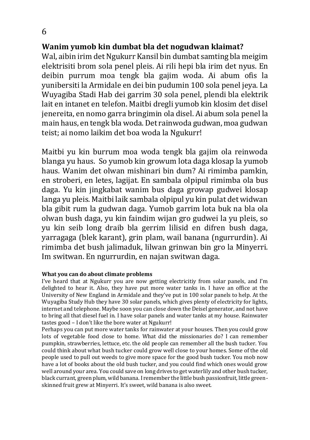## **Wanim yumob kin dumbat bla det nogudwan klaimat?**

Wal, aibin irim det Ngukurr Kansil bin dumbat samting bla meigim elektrisiti brom sola penel pleis. Ai rili hepi bla irim det nyus. En deibin purrum moa tengk bla gajim woda. Ai abum ofis la yunibersiti la Armidale en dei bin pudumin 100 sola penel jeya. La Wuyagiba Stadi Hab dei garrim 30 sola penel, plendi bla elektrik lait en intanet en telefon. Maitbi dregli yumob kin klosim det disel jenereita, en nomo garra bringimin ola disel. Ai abum sola penel la main haus, en tengk bla woda. Det rainwoda gudwan, moa gudwan teist; ai nomo laikim det boa woda la Ngukurr!

Maitbi yu kin burrum moa woda tengk bla gajim ola reinwoda blanga yu haus. So yumob kin growum lota daga klosap la yumob haus. Wanim det olwan mishinari bin dum? Ai rimimba pamkin, en stroberi, en letes, lagijat. En sambala olpipul rimimba ola bus daga. Yu kin jingkabat wanim bus daga growap gudwei klosap langa yu pleis. Maitbi laik sambala olpipul yu kin pulat det widwan bla gibit rum la gudwan daga. Yumob garrim lota buk na bla ola olwan bush daga, yu kin faindim wijan gro gudwei la yu pleis, so yu kin seib long draib bla gerrim lilisid en difren bush daga, yarragaga (blek karant), grin plam, wail banana (ngurrurdin). Ai rimimba det bush jalimaduk, lilwan grinwan bin gro la Minyerri. Im switwan. En ngurrurdin, en najan switwan daga.

#### **What you can do about climate problems**

I've heard that at Ngukurr you are now getting electricitiy from solar panels, and I'm delighted to hear it. Also, they have put more water tanks in. I have an office at the University of New England in Armidale and they've put in 100 solar panels to help. At the Wuyagiba Study Hub they have 30 solar panels, which gives plenty of electricity for lights, internet and telephone. Maybe soon you can close down the Deisel generator, and not have to bring all that diesel fuel in. I have solar panels and water tanks at my house. Rainwater tastes good – I don't like the bore water at Ngukurr!

Perhaps you can put more water tanks for rainwater at your houses. Then you could grow lots of vegetable food close to home. What did the missionaries do? I can remember pumpkin, strawberries, lettuce, etc. the old people can remember all the bush tucker. You could think about what bush tucker could grow well close to your homes. Some of the old people used to pull out weeds to give more space for the good bush tucker. You mob now have a lot of books about the old bush tucker, and you could find which ones would grow well around your area. You could save on long drives to get waterlily and other bush tucker, black currant, green plum, wild banana. I remember the little bush passionfruit, little greenskinned fruit grew at Minyerri. It's sweet, wild banana is also sweet.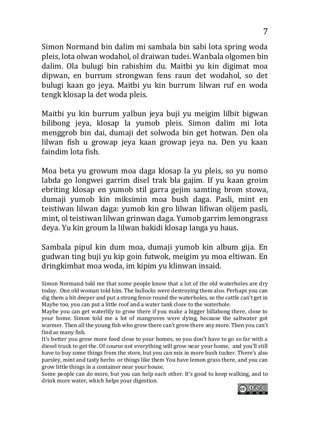Simon Normand bin dalim mi sambala bin sabi lota spring woda pleis, lota olwan wodahol, ol draiwan tudei. Wanbala olgomen bin dalim. Ola bulugi bin rabishim du. Maitbi yu kin digimat moa dipwan, en burrum strongwan fens raun det wodahol, so det bulugi kaan go jeya. Maitbi yu kin burrum lilwan ruf en woda tengk klosap la det woda pleis.

Maitbi yu kin burrum yalbun jeya buji yu meigim lilbit bigwan bilibong jeya, klosap la yumob pleis. Simon dalim mi lota menggrob bin dai, dumaji det solwoda bin get hotwan. Den ola lilwan fish u growap jeya kaan growap jeya na. Den yu kaan faindim lota fish.

Moa beta yu growum moa daga klosap la yu pleis, so yu nomo labda go longwei garrim disel trak bla gajim. If yu kaan groim ebriting klosap en yumob stil garra gejim samting brom stowa, dumaji yumob kin miksimin moa bush daga. Pasli, mint en teistiwan lilwan daga: yumob kin gro lilwan lifiwan olijem pasli, mint, ol teistiwan lilwan grinwan daga. Yumob garrim lemongrass deya. Yu kin groum la lilwan bakidi klosap langa yu haus.

Sambala pipul kin dum moa, dumaji yumob kin album gija. En gudwan ting buji yu kip goin futwok, meigim yu moa eltiwan. En dringkimbat moa woda, im kipim yu klinwan insaid.

Simon Normand told me that some people know that a lot of the old waterholes are dry today. One old woman told him. The bullocks were destroying them also. Perhaps you can dig them a bit deeper and put a strong fence round the waterholes, so the cattle can't get in Maybe too, you can put a little roof and a water tank close to the waterhole.

Maybe you can get waterlily to grow there if you make a bigger billabong there, close to your home. Simon told me a lot of mangroves were dying, because the saltwater got warmer. Then all the young fish who grow there can't grow there any more. Then you can't find as many fish.

It's better you grow more food close to your homes, so you don't have to go so far with a diesel truck to get the. Of course not everything will grow near your home, and you'll still have to buy some things from the store, but you can mix in more bush tucker. There's also parsley, mint and tasty herbs or things like them You have lemon grass there, and you can grow little things in a container near your house.

Some people can do more, but you can help each other. It's good to keep walking, and to drink more water, which helps your digestion.

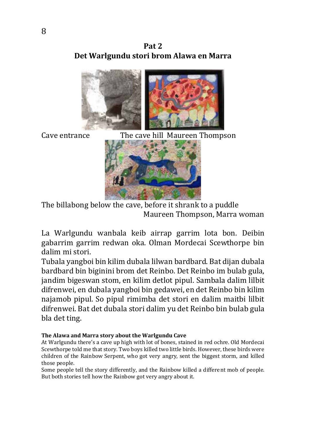



Cave entrance The cave hill Maureen Thompson



The billabong below the cave, before it shrank to a puddle Maureen Thompson, Marra woman

La Warlgundu wanbala keib airrap garrim lota bon. Deibin gabarrim garrim redwan oka. Olman Mordecai Scewthorpe bin dalim mi stori.

Tubala yangboi bin kilim dubala lilwan bardbard. Bat dijan dubala bardbard bin biginini brom det Reinbo. Det Reinbo im bulab gula, jandim bigeswan stom, en kilim detlot pipul. Sambala dalim lilbit difrenwei, en dubala yangboi bin gedawei, en det Reinbo bin kilim najamob pipul. So pipul rimimba det stori en dalim maitbi lilbit difrenwei. Bat det dubala stori dalim yu det Reinbo bin bulab gula bla det ting.

#### **The Alawa and Marra story about the Warlgundu Cave**

At Warlgundu there's a cave up high with lot of bones, stained in red ochre. Old Mordecai Scewthorpe told me that story. Two boys killed two little birds. However, these birds were children of the Rainbow Serpent, who got very angry, sent the biggest storm, and killed those people.

Some people tell the story differently, and the Rainbow killed a different mob of people. But both stories tell how the Rainbow got very angry about it.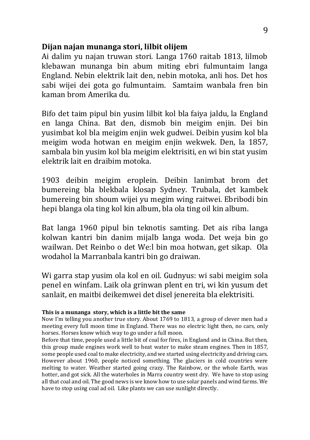### **Dijan najan munanga stori, lilbit olijem**

Ai dalim yu najan truwan stori. Langa 1760 raitab 1813, lilmob klebawan munanga bin abum miting ebri fulmuntaim langa England. Nebin elektrik lait den, nebin motoka, anli hos. Det hos sabi wijei dei gota go fulmuntaim. Samtaim wanbala fren bin kaman brom Amerika du.

Bifo det taim pipul bin yusim lilbit kol bla faiya jaldu, la England en langa China. Bat den, dismob bin meigim enjin. Dei bin yusimbat kol bla meigim enjin wek gudwei. Deibin yusim kol bla meigim woda hotwan en meigim enjin wekwek. Den, la 1857, sambala bin yusim kol bla meigim elektrisiti, en wi bin stat yusim elektrik lait en draibim motoka.

1903 deibin meigim eroplein. Deibin lanimbat brom det bumereing bla blekbala klosap Sydney. Trubala, det kambek bumereing bin shoum wijei yu megim wing raitwei. Ebribodi bin hepi blanga ola ting kol kin album, bla ola ting oil kin album.

Bat langa 1960 pipul bin teknotis samting. Det ais riba langa kolwan kantri bin danim mijalb langa woda. Det weja bin go wailwan. Det Reinbo o det We:l bin moa hotwan, get sikap. Ola wodahol la Marranbala kantri bin go draiwan.

Wi garra stap yusim ola kol en oil. Gudnyus: wi sabi meigim sola penel en winfam. Laik ola grinwan plent en tri, wi kin yusum det sanlait, en maitbi deikemwei det disel jenereita bla elektrisiti.

Before that time, people used a little bit of coal for fires, in England and in China. But then, this group made engines work well to heat water to make steam engines. Then in 1857, some people used coal to make electricity, and we started using electricity and driving cars. However about 1960, people noticed something. The glaciers in cold countries were melting to water. Weather started going crazy. The Rainbow, or the whole Earth, was hotter, and got sick. All the waterholes in Marra country went dry. We have to stop using all that coal and oil. The good news is we know how to use solar panels and wind farms. We have to stop using coal ad oil. Like plants we can use sunlight directly.

**This is a munanga story, which is a little bit the same**

Now I'm telling you another true story. About 1769 to 1813, a group of clever men had a meeting every full moon time in England. There was no electric light then, no cars, only horses. Horses know which way to go under a full moon.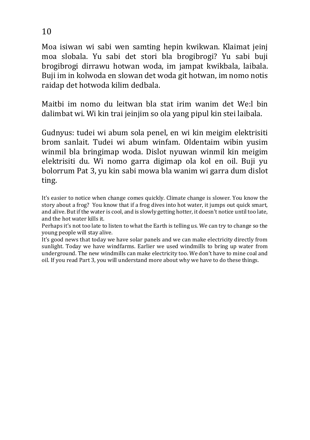Moa isiwan wi sabi wen samting hepin kwikwan. Klaimat jeinj moa slobala. Yu sabi det stori bla brogibrogi? Yu sabi buji brogibrogi dirrawu hotwan woda, im jampat kwikbala, laibala. Buji im in kolwoda en slowan det woda git hotwan, im nomo notis raidap det hotwoda kilim dedbala.

Maitbi im nomo du leitwan bla stat irim wanim det We:l bin dalimbat wi. Wi kin trai jeinjim so ola yang pipul kin stei laibala.

Gudnyus: tudei wi abum sola penel, en wi kin meigim elektrisiti brom sanlait. Tudei wi abum winfam. Oldentaim wibin yusim winmil bla bringimap woda. Dislot nyuwan winmil kin meigim elektrisiti du. Wi nomo garra digimap ola kol en oil. Buji yu bolorrum Pat 3, yu kin sabi mowa bla wanim wi garra dum dislot ting.

It's easier to notice when change comes quickly. Climate change is slower. You know the story about a frog? You know that if a frog dives into hot water, it jumps out quick smart, and alive. But if the water is cool, and is slowly getting hotter, it doesn't notice until too late, and the hot water kills it.

Perhaps it's not too late to listen to what the Earth is telling us. We can try to change so the young people will stay alive.

It's good news that today we have solar panels and we can make electricity directly from sunlight. Today we have windfarms. Earlier we used windmills to bring up water from underground. The new windmills can make electricity too. We don't have to mine coal and oil. If you read Part 3, you will understand more about why we have to do these things.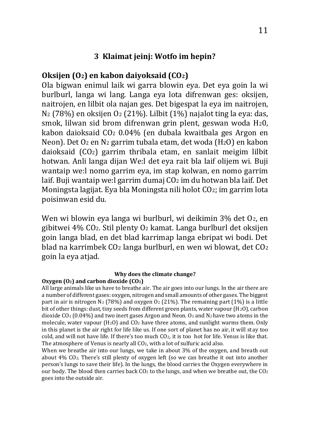#### **3 Klaimat jeinj: Wotfo im hepin?**

## **Oksijen (O2) en kabon daiyoksaid (CO2)**

Ola bigwan enimul laik wi garra blowin eya. Det eya goin la wi burlburl, langa wi lang. Langa eya lota difrenwan ges: oksijen, naitrojen, en lilbit ola najan ges. Det bigespat la eya im naitrojen, N2 (78%) en oksijen O2 (21%). Lilbit (1%) najalot ting la eya: das, smok, lilwan sid brom difrenwan grin plent, geswan woda H20, kabon daioksaid CO2 0.04% (en dubala kwaitbala ges Argon en Neon). Det O2 en N2 garrim tubala etam, det woda (H2O) en kabon daioksaid (CO2) garrim thribala etam, en sanlait meigim lilbit hotwan. Anli langa dijan We:l det eya rait bla laif olijem wi. Buji wantaip we:l nomo garrim eya, im stap kolwan, en nomo garrim laif. Buji wantaip we: lgarrim dumaj CO2 im du hotwan bla laif. Det Moningsta lagijat. Eya bla Moningsta nili holot CO2; im garrim lota poisinwan esid du.

Wen wi blowin eya langa wi burlburl, wi deikimin 3% det O2, en gibitwei 4% CO2. Stil plenty O2 kamat. Langa burlburl det oksijen goin langa blad, en det blad karrimap langa ebripat wi bodi. Det blad na karrimbek CO2 langa burlburl, en wen wi blowat, det CO2 goin la eya atjad.

#### **Why does the climate change?**

#### **Oxygen (O2) and carbon dioxide (CO2)**

All large animals like us have to breathe air. The air goes into our lungs. In the air there are a number of different gases: oxygen, nitrogen and small amounts of other gases. The biggest part in air is nitrogen  $N_2$  (78%) and oxygen  $O_2$  (21%). The remaining part (1%) is a little bit of other things: dust, tiny seeds from different green plants, water vapour  $(H_2O)$ , carbon dioxide  $CO<sub>2</sub>$  (0.04%) and two inert gases Argon and Neon. O<sub>2</sub> and N<sub>2</sub> have two atoms in the molecule, water vapour (H2O) and CO2 have three atoms, and sunlight warms them. Only in this planet is the air right for life like us. If one sort of planet has no air, it will stay too cold, and will not have life. If there's too much CO2, it is too hot for life. Venus is like that. The atmosphere of Venus is nearly all CO2, with a lot of sulfuric acid also.

When we breathe air into our lungs, we take in about 3% of the oxygen, and breath out about 4% CO2. There's still plenty of oxygen left (so we can breathe it out into another person's lungs to save their life). In the lungs, the blood carries the Oxygen everywhere in our body. The blood then carries back  $CO<sub>2</sub>$  to the lungs, and when we breathe out, the  $CO<sub>2</sub>$ goes into the outside air.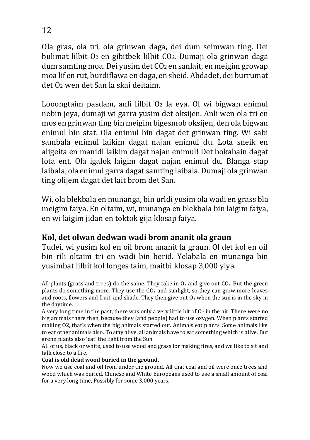Ola gras, ola tri, ola grinwan daga, dei dum seimwan ting. Dei bulimat lilbit O2 en gibitbek lilbit CO2. Dumaji ola grinwan daga dum samting moa. Dei yusim det CO2 en sanlait, en meigim growap moa lif en rut, burdiflawa en daga, en sheid. Abdadet, dei burrumat det O2 wen det San la skai deitaim.

Looongtaim pasdam, anli lilbit  $O<sub>2</sub>$  la eya. Ol wi bigwan enimul nebin jeya, dumaji wi garra yusim det oksijen. Anli wen ola tri en mos en grinwan ting bin meigim bigesmob oksijen, den ola bigwan enimul bin stat. Ola enimul bin dagat det grinwan ting. Wi sabi sambala enimul laikim dagat najan enimul du. Lota sneik en aligeita en manidl laikim dagat najan enimul! Det bokabain dagat lota ent. Ola igalok laigim dagat najan enimul du. Blanga stap laibala, ola enimul garra dagat samting laibala. Dumaji ola grinwan ting olijem dagat det lait brom det San.

Wi, ola blekbala en munanga, bin urldi yusim ola wadi en grass bla meigim faiya. En oltaim, wi, munanga en blekbala bin laigim faiya, en wi laigim jidan en toktok gija klosap faiya.

## **Kol, det olwan dedwan wadi brom ananit ola graun**

Tudei, wi yusim kol en oil brom ananit la graun. Ol det kol en oil bin rili oltaim tri en wadi bin berid. Yelabala en munanga bin yusimbat lilbit kol longes taim, maitbi klosap 3,000 yiya.

All plants (grass and trees) do the same. They take in  $O_2$  and give out  $CO_2$ . But the green plants do something more. They use the CO2 and sunlight, so they can grow more leaves and roots, flowers and fruit, and shade. They then give out  $O<sub>2</sub>$  when the sun is in the sky in the daytime.

A very long time in the past, there was only a very little bit of  $O_2$  in the air. There were no big animals there then, because they (and people) had to use oxygen. When plants started making O2, that's when the big animals started out. Animals eat plants. Some animals like to eat other animals also. To stay alive, all animals have to eat something which is alive. But grenn plants also 'eat' the light from the Sun.

All of us, black or white, used to use wood and grass for making fires, and we like to sit and talk close to a fire.

#### **Coal is old dead wood buried in the ground.**

Now we use coal and oil from under the ground. All that coal and oil were once trees and wood which was buried. Chinese and White Europeans used to use a small amount of coal for a very long time, Possibly for some 3,000 years.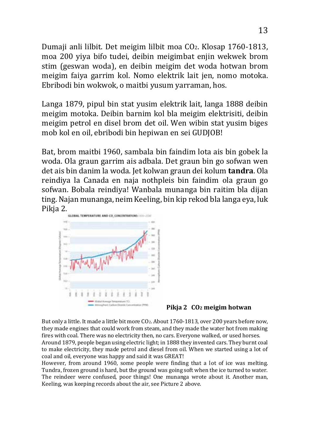Dumaji anli lilbit. Det meigim lilbit moa CO2. Klosap 1760-1813, moa 200 yiya bifo tudei, deibin meigimbat enjin wekwek brom stim (geswan woda), en deibin meigim det woda hotwan brom meigim faiya garrim kol. Nomo elektrik lait jen, nomo motoka. Ebribodi bin wokwok, o maitbi yusum yarraman, hos.

Langa 1879, pipul bin stat yusim elektrik lait, langa 1888 deibin meigim motoka. Deibin barnim kol bla meigim elektrisiti, deibin meigim petrol en disel brom det oil. Wen wibin stat yusim biges mob kol en oil, ebribodi bin hepiwan en sei GUDJOB!

Bat, brom maitbi 1960, sambala bin faindim lota ais bin gobek la woda. Ola graun garrim ais adbala. Det graun bin go sofwan wen det ais bin danim la woda. Jet kolwan graun dei kolum **tandra**. Ola reindiya la Canada en naja nothpleis bin faindim ola graun go sofwan. Bobala reindiya! Wanbala munanga bin raitim bla dijan ting. Najan munanga, neim Keeling, bin kip rekod bla langa eya, luk Pikja 2.



#### **Pikja 2 CO2 meigim hotwan**

But only a little. It made a little bit more CO<sub>2</sub>. About 1760-1813, over 200 years before now, they made engines that could work from steam, and they made the water hot from making fires with coal. There was no electricity then, no cars. Everyone walked, or used horses. Around 1879, people began using electric light; in 1888 they invented cars. They burnt coal to make electricity, they made petrol and diesel from oil. When we started using a lot of coal and oil, everyone was happy and said it was GREAT!

However, from around 1960, some people were finding that a lot of ice was melting. Tundra, frozen ground is hard, but the ground was going soft when the ice turned to water. The reindeer were confused, poor things! One munanga wrote about it. Another man, Keeling, was keeping records about the air, see Picture 2 above.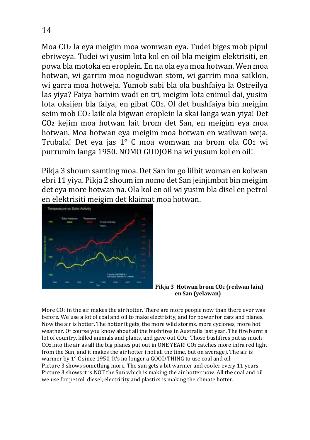Moa CO2 la eya meigim moa womwan eya. Tudei biges mob pipul ebriweya. Tudei wi yusim lota kol en oil bla meigim elektrisiti, en powa bla motoka en eroplein. En na ola eya moa hotwan. Wen moa hotwan, wi garrim moa nogudwan stom, wi garrim moa saiklon, wi garra moa hotweja. Yumob sabi bla ola bushfaiya la Ostreilya las yiya? Faiya barnim wadi en tri, meigim lota enimul dai, yusim lota oksijen bla faiya, en gibat CO2. Ol det bushfaiya bin meigim seim mob CO2 laik ola bigwan eroplein la skai langa wan yiya! Det CO2 kejim moa hotwan lait brom det San, en meigim eya moa hotwan. Moa hotwan eya meigim moa hotwan en wailwan weja. Trubala! Det eya jas 1° C moa womwan na brom ola CO2 wi purrumin langa 1950. NOMO GUDJOB na wi yusum kol en oil!

Pikja 3 shoum samting moa. Det San im go lilbit woman en kolwan ebri 11 yiya. Pikja 2 shoum im nomo det San jeinjimbat bin meigim det eya more hotwan na. Ola kol en oil wi yusim bla disel en petrol en elektrisiti meigim det klaimat moa hotwan.





More CO2 in the air makes the air hotter. There are more people now than there ever was before. We use a lot of coal and oil to make electrisity, and for power for cars and planes. Now the air is hotter. The hotter it gets, the more wild storms, more cyclones, more hot weather. Of course you know about all the bushfires in Australia last year. The fire burnt a lot of country, killed animals and plants, and gave out CO2. Those bushfires put as much CO2 into the air as all the big planes put out in ONE YEAR! CO2 catches more infra red light from the Sun, and it makes the air hotter (not all the time, but on average). The air is warmer by 1° C since 1950. It's no longer a GOOD THING to use coal and oil. Picture 3 shows something more. The sun gets a bit warmer and cooler every 11 years. Picture 3 shows it is NOT the Sun which is making the air hotter now. All the coal and oil we use for petrol, diesel, electricity and plastics is making the climate hotter.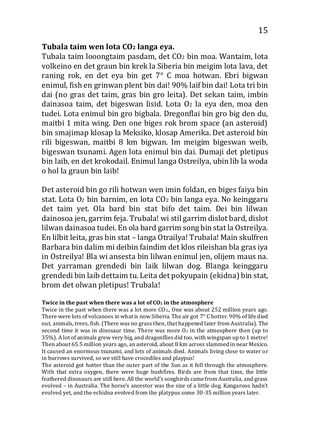## **Tubala taim wen lota CO2 langa eya.**

Tubala taim looongtaim pasdam, det CO2 bin moa. Wantaim, lota volkeino en det graun bin krek la Siberia bin meigim lota lava, det raning rok, en det eya bin get 7° C moa hotwan. Ebri bigwan enimul, fish en grinwan plent bin dai! 90% laif bin dai! Lota tri bin dai (no gras det taim, gras bin gro leita). Det sekan taim, imbin dainasoa taim, det bigeswan lisid. Lota O2 la eya den, moa den tudei. Lota enimul bin gro bigbala. Dregonflai bin gro big den du, maitbi 1 mita wing. Den one biges rok brom space (an asteroid) bin smajimap klosap la Meksiko, klosap Amerika. Det asteroid bin rili bigeswan, maitbi 8 km bigwan. Im meigim bigeswan weib, bigeswan tsunami. Agen lota enimul bin dai. Dumaji det pletipus bin laib, en det krokodail. Enimul langa Ostreilya, ubin lib la woda o hol la graun bin laib!

Det asteroid bin go rili hotwan wen imin foldan, en biges faiya bin stat. Lota O2 bin barnim, en lota CO2 bin langa eya. No keinggaru det taim yet. Ola bard bin stat bifo det taim. Dei bin lilwan dainosoa jen, garrim feja. Trubala! wi stil garrim dislot bard, dislot lilwan dainasoa tudei. En ola bard garrim song bin stat la Ostreilya. En lilbit leita, gras bin stat – langa Otrailya! Trubala! Main skulfren Barbara bin dalim mi deibin faindim det klos rileishan bla gras iya in Ostreilya! Bla wi ansesta bin lilwan enimul jen, olijem maus na. Det yarraman grendedi bin laik lilwan dog. Blanga keinggaru grendedi bin laib dettaim tu. Leita det pokyupain (ekidna) bin stat, brom det olwan pletipus! Trubala!

#### **Twice in the past when there was a lot of CO2 in the atmosphere**

Twice in the past when there was a lot more CO2., One was about 252 million years ago. There were lots of volcanoes in what is now Siberia. The air got 7° C hotter. 90% of life died out, animals, trees, fish. (There was no grass then, that happened later from Australia). The second time it was in dinosaur time. There was more  $\overline{O_2}$  in the atmosphere then (up to 35%). A lot of animals grew very big, and dragonflies did too, with wingspan up to 1 metre! Then about 65.5 million years ago, an asteroid, about 8 km across slammed in near Mexico. It caused an enormous tsunami, and lots of animals died. Animals living close to water or in burrows survived, so we still have crocodiles and playpus!

The asteroid got hotter than the outer part of the Sun as it fell through the atmosphere. With that extra oxygen, there were huge bushfires. Birds are from that time, the little feathered dinosaurs are still here. All the world's songbirds came from Australia, and grass evolved – in Australia. The horse's ancestor was the size of a little dog. Kangaroos hadn't evolved yet, and the echidna evolved from the platypus some 30-35 million years later.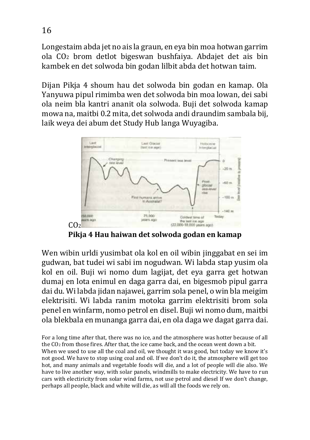Longestaim abda jet no ais la graun, en eya bin moa hotwan garrim ola CO2 brom detlot bigeswan bushfaiya. Abdajet det ais bin kambek en det solwoda bin godan lilbit abda det hotwan taim.

Dijan Pikja 4 shoum hau det solwoda bin godan en kamap. Ola Yanyuwa pipul rimimba wen det solwoda bin moa lowan, dei sabi ola neim bla kantri ananit ola solwoda. Buji det solwoda kamap mowa na, maitbi 0.2 mita, det solwoda andi draundim sambala bij, laik weya dei abum det Study Hub langa Wuyagiba.



**Pikja 4 Hau haiwan det solwoda godan en kamap**

Wen wibin urldi yusimbat ola kol en oil wibin jinggabat en sei im gudwan, bat tudei wi sabi im nogudwan. Wi labda stap yusim ola kol en oil. Buji wi nomo dum lagijat, det eya garra get hotwan dumaj en lota enimul en daga garra dai, en bigesmob pipul garra dai du. Wi labda jidan najawei, garrim sola penel, o win bla meigim elektrisiti. Wi labda ranim motoka garrim elektrisiti brom sola penel en winfarm, nomo petrol en disel. Buji wi nomo dum, maitbi ola blekbala en munanga garra dai, en ola daga we dagat garra dai.

For a long time after that, there was no ice, and the atmosphere was hotter because of all the CO2 from those fires. After that, the ice came back, and the ocean went down a bit. When we used to use all the coal and oil, we thought it was good, but today we know it's not good. We have to stop using coal and oil. If we don't do it, the atmosphere will get too hot, and many animals and vegetable foods will die, and a lot of people will die also. We have to live another way, with solar panels, windmills to make electricity. We have to run cars with electiricity from solar wind farms, not use petrol and diesel If we don't change, perhaps all people, black and white will die, as will all the foods we rely on.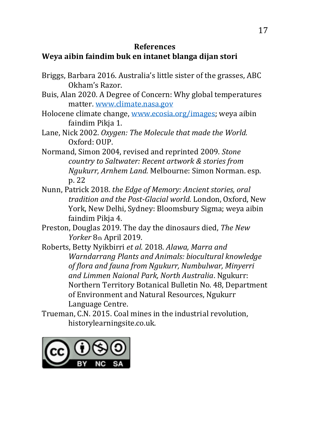## **References**

## **Weya aibin faindim buk en intanet blanga dijan stori**

- Briggs, Barbara 2016. Australia's little sister of the grasses, ABC Okham's Razor.
- Buis, Alan 2020. A Degree of Concern: Why global temperatures matter. www.climate.nasa.gov
- Holocene climate change, www.ecosia.org/images; weya aibin faindim Pikja 1.
- Lane, Nick 2002. *Oxygen: The Molecule that made the World.*  Oxford: OUP.
- Normand, Simon 2004, revised and reprinted 2009. *Stone country to Saltwater: Recent artwork & stories from Ngukurr, Arnhem Land.* Melbourne: Simon Norman. esp. p. 22
- Nunn, Patrick 2018. *the Edge of Memory: Ancient stories, oral tradition and the Post-Glacial world.* London, Oxford, New York, New Delhi, Sydney: Bloomsbury Sigma; weya aibin faindim Pikja 4.
- Preston, Douglas 2019. The day the dinosaurs died, *The New Yorker* 8th April 2019.
- Roberts, Betty Nyikbirri *et al.* 2018. *Alawa, Marra and Warndarrang Plants and Animals: biocultural knowledge of flora and fauna from Ngukurr, Numbulwar, Minyerri and Limmen Naional Park, North Australia*. Ngukurr: Northern Territory Botanical Bulletin No. 48, Department of Environment and Natural Resources, Ngukurr Language Centre.
- Trueman, C.N. 2015. Coal mines in the industrial revolution, historylearningsite.co.uk.

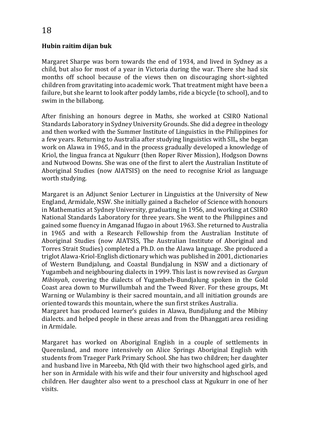#### **Hubin raitim dijan buk**

Margaret Sharpe was born towards the end of 1934, and lived in Sydney as a child, but also for most of a year in Victoria during the war. There she had six months off school because of the views then on discouraging short-sighted children from gravitating into academic work. That treatment might have been a failure, but she learnt to look after poddy lambs, ride a bicycle (to school), and to swim in the billabong.

After finishing an honours degree in Maths, she worked at CSIRO National Standards Laboratory in Sydney University Grounds. She did a degree in theology and then worked with the Summer Institute of Linguistics in the Philippines for a few years. Returning to Australia after studying linguistics with SIL, she began work on Alawa in 1965, and in the process gradually developed a knowledge of Kriol, the lingua franca at Ngukurr (then Roper River Mission), Hodgson Downs and Nutwood Downs. She was one of the first to alert the Australian Institute of Aboriginal Studies (now AIATSIS) on the need to recognise Kriol as language worth studying.

Margaret is an Adjunct Senior Lecturer in Linguistics at the University of New England, Armidale, NSW. She initially gained a Bachelor of Science with honours in Mathematics at Sydney University, graduating in 1956, and working at CSIRO National Standards Laboratory for three years. She went to the Philippines and gained some fluency in Amganad Ifugao in about 1963. She returned to Australia in 1965 and with a Research Fellowship from the Australian Institute of Aboriginal Studies (now AIATSIS, The Australian Institute of Aboriginal and Torres Strait Studies) completed a Ph.D. on the Alawa language. She produced a triglot Alawa-Kriol-English dictionary which was published in 2001, dictionaries of Western Bundjalung, and Coastal Bundjalung in NSW and a dictionary of Yugambeh and neighbouring dialects in 1999. This last is now revised as *Gurgun Mibinyah*, covering the dialects of Yugambeh-Bundjalung spoken in the Gold Coast area down to Murwillumbah and the Tweed River. For these groups, Mt Warning or Wulambiny is their sacred mountain, and all initiation grounds are oriented towards this mountain, where the sun first strikes Australia.

Margaret has produced learner's guides in Alawa, Bundjalung and the Mibiny dialects. and helped people in these areas and from the Dhanggati area residing in Armidale.

Margaret has worked on Aboriginal English in a couple of settlements in Queensland, and more intensively on Alice Springs Aboriginal English with students from Traeger Park Primary School. She has two children; her daughter and husband live in Mareeba, Nth Qld with their two highschool aged girls, and her son in Armidale with his wife and their four university and highschool aged children. Her daughter also went to a preschool class at Ngukurr in one of her visits.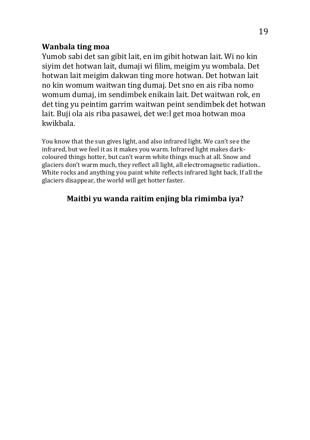## **Wanbala ting moa**

Yumob sabi det san gibit lait, en im gibit hotwan lait. Wi no kin siyim det hotwan lait, dumaji wi filim, meigim yu wombala. Det hotwan lait meigim dakwan ting more hotwan. Det hotwan lait no kin womum waitwan ting dumaj. Det sno en ais riba nomo womum dumaj, im sendimbek enikain lait. Det waitwan rok, en det ting yu peintim garrim waitwan peint sendimbek det hotwan lait. Buji ola ais riba pasawei, det we:l get moa hotwan moa kwikbala.

You know that the sun gives light, and also infrared light. We can't see the infrared, but we feel it as it makes you warm. Infrared light makes darkcoloured things hotter, but can't warm white things much at all. Snow and glaciers don't warm much, they reflect all light, all electromagnetic radiation.. White rocks and anything you paint white reflects infrared light back. If all the glaciers disappear, the world will get hotter faster.

## **Maitbi yu wanda raitim enjing bla rimimba iya?**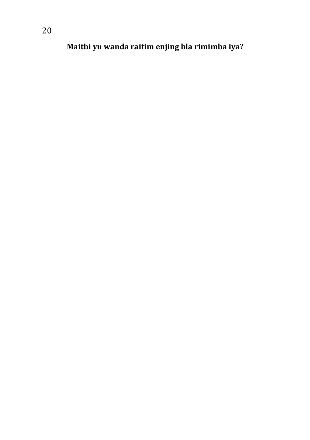**Maitbi yu wanda raitim enjing bla rimimba iya?**